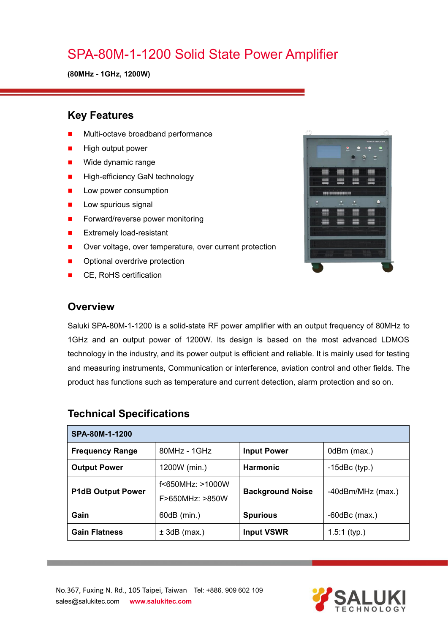## SPA-80M-1-1200 Solid State Power Amplifier

**(80MHz - 1GHz, 1200W)**

### **Key Features**

- Multi-octave broadband performance
- High output power
- **Nide dynamic range**
- **High-efficiency GaN technology**
- **Low power consumption**
- $\blacksquare$  Low spurious signal
- Forward/reverse power monitoring
- **EXtremely load-resistant**
- Over voltage, over temperature, over current protection
- **Department** Optional overdrive protection
- CE, RoHS certification



### **Overview**

Saluki SPA-80M-1-1200 is a solid-state RF power amplifier with an output frequency of 80MHz to 1GHz and an output power of 1200W. Its design is based on the most advanced LDMOS technology in the industry, and its power output is efficient and reliable. It is mainly used for testing and measuring instruments, Communication or interference, aviation control and other fields. The product has functions such as temperature and current detection, alarm protection and so on.

| SPA-80M-1-1200           |                  |                         |                        |  |
|--------------------------|------------------|-------------------------|------------------------|--|
| <b>Frequency Range</b>   | $80MHz - 1GHz$   | <b>Input Power</b>      | 0dBm (max.)            |  |
| <b>Output Power</b>      | 1200W (min.)     | <b>Harmonic</b>         | $-15$ dBc (typ.)       |  |
| <b>P1dB Output Power</b> | f<650MHz: >1000W | <b>Background Noise</b> | $-40$ dBm/MHz $(max.)$ |  |
|                          | F>650MHz: >850W  |                         |                        |  |
| Gain                     | 60dB (min.)      | <b>Spurious</b>         | $-60$ d $Bc$ (max.)    |  |
| <b>Gain Flatness</b>     | $± 3dB$ (max.)   | <b>Input VSWR</b>       | $1.5:1$ (typ.)         |  |

#### **Technical Specifications**